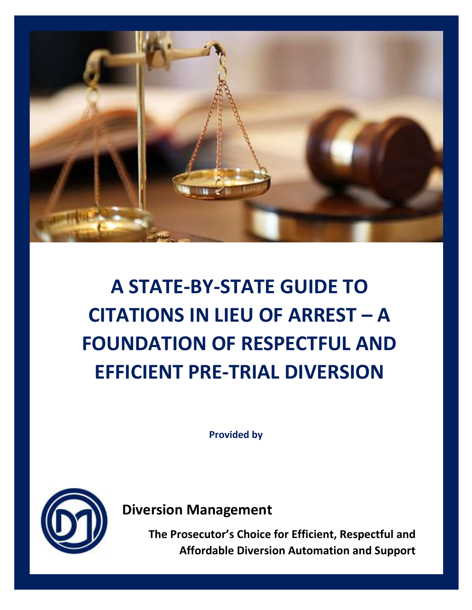

## **A STATE-BY-STATE GUIDE TO CITATIONS IN LIEU OF ARREST – A FOUNDATION OF RESPECTFUL AND EFFICIENT PRE-TRIAL DIVERSION**

**Provided by**



**Diversion Management** 

**The Prosecutor's Choice for Efficient, Respectful and Affordable Diversion Automation and Support**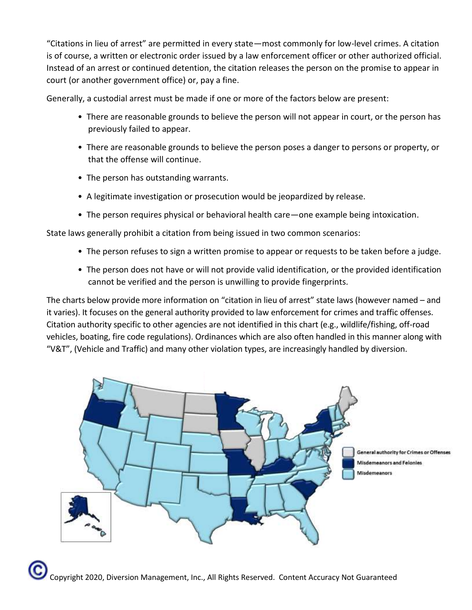"Citations in lieu of arrest" are permitted in every state—most commonly for low-level crimes. A citation is of course, a written or electronic order issued by a law enforcement officer or other authorized official. Instead of an arrest or continued detention, the citation releases the person on the promise to appear in court (or another government office) or, pay a fine.

Generally, a custodial arrest must be made if one or more of the factors below are present:

- There are reasonable grounds to believe the person will not appear in court, or the person has previously failed to appear.
- There are reasonable grounds to believe the person poses a danger to persons or property, or that the offense will continue.
- The person has outstanding warrants.
- A legitimate investigation or prosecution would be jeopardized by release.
- The person requires physical or behavioral health care—one example being intoxication.

State laws generally prohibit a citation from being issued in two common scenarios:

- The person refuses to sign a written promise to appear or requests to be taken before a judge.
- The person does not have or will not provide valid identification, or the provided identification cannot be verified and the person is unwilling to provide fingerprints.

The charts below provide more information on "citation in lieu of arrest" state laws (however named – and it varies). It focuses on the general authority provided to law enforcement for crimes and traffic offenses. Citation authority specific to other agencies are not identified in this chart (e.g., wildlife/fishing, off-road vehicles, boating, fire code regulations). Ordinances which are also often handled in this manner along with "V&T", (Vehicle and Traffic) and many other violation types, are increasingly handled by diversion.

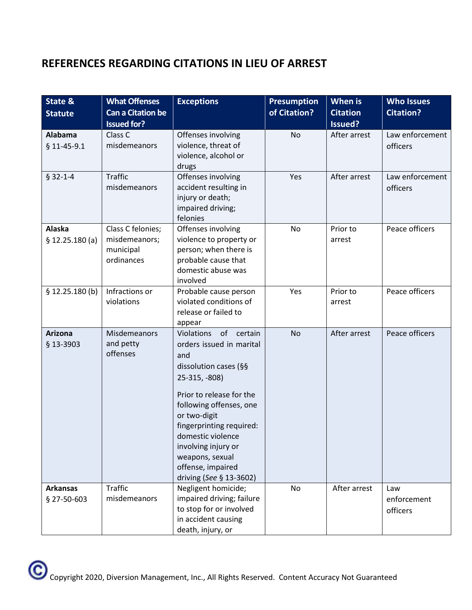## **REFERENCES REGARDING CITATIONS IN LIEU OF ARREST**

| State &                         | <b>What Offenses</b>                                          | <b>Exceptions</b>                                                                                                                                                                                                                                                                                                    | <b>Presumption</b> | When is            | <b>Who Issues</b>              |
|---------------------------------|---------------------------------------------------------------|----------------------------------------------------------------------------------------------------------------------------------------------------------------------------------------------------------------------------------------------------------------------------------------------------------------------|--------------------|--------------------|--------------------------------|
| <b>Statute</b>                  | <b>Can a Citation be</b>                                      |                                                                                                                                                                                                                                                                                                                      | of Citation?       | <b>Citation</b>    | <b>Citation?</b>               |
|                                 | <b>Issued for?</b>                                            |                                                                                                                                                                                                                                                                                                                      |                    | Issued?            |                                |
| <b>Alabama</b><br>$$11-45-9.1$  | Class C<br>misdemeanors                                       | Offenses involving<br>violence, threat of<br>violence, alcohol or<br>drugs                                                                                                                                                                                                                                           | <b>No</b>          | After arrest       | Law enforcement<br>officers    |
| $$32-1-4$                       | <b>Traffic</b><br>misdemeanors                                | Offenses involving<br>accident resulting in<br>injury or death;<br>impaired driving;<br>felonies                                                                                                                                                                                                                     | Yes                | After arrest       | Law enforcement<br>officers    |
| <b>Alaska</b><br>\$12.25.180(a) | Class C felonies;<br>misdemeanors;<br>municipal<br>ordinances | Offenses involving<br>violence to property or<br>person; when there is<br>probable cause that<br>domestic abuse was<br>involved                                                                                                                                                                                      | No                 | Prior to<br>arrest | Peace officers                 |
| \$12.25.180(b)                  | Infractions or<br>violations                                  | Probable cause person<br>violated conditions of<br>release or failed to<br>appear                                                                                                                                                                                                                                    | Yes                | Prior to<br>arrest | Peace officers                 |
| <b>Arizona</b><br>§ 13-3903     | <b>Misdemeanors</b><br>and petty<br>offenses                  | Violations of certain<br>orders issued in marital<br>and<br>dissolution cases (§§<br>25-315, -808)<br>Prior to release for the<br>following offenses, one<br>or two-digit<br>fingerprinting required:<br>domestic violence<br>involving injury or<br>weapons, sexual<br>offense, impaired<br>driving (See § 13-3602) | No                 | After arrest       | Peace officers                 |
| <b>Arkansas</b><br>§ 27-50-603  | <b>Traffic</b><br>misdemeanors                                | Negligent homicide;<br>impaired driving; failure<br>to stop for or involved<br>in accident causing<br>death, injury, or                                                                                                                                                                                              | No                 | After arrest       | Law<br>enforcement<br>officers |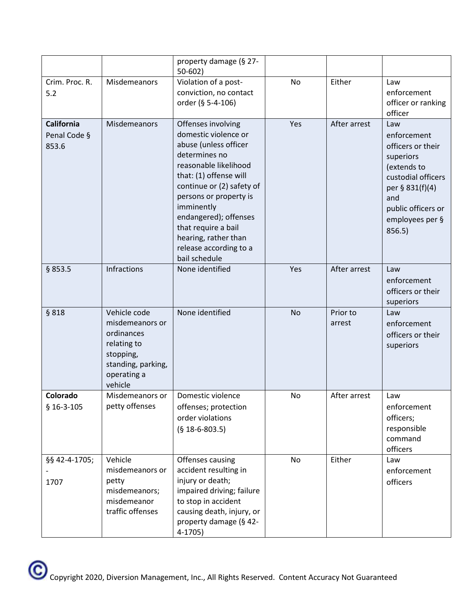|                                     |                                                                                                                           | property damage (§ 27-<br>$50 - 602$                                                                                                                                                                                                                                                                                            |           |                    |                                                                                                                                                                        |
|-------------------------------------|---------------------------------------------------------------------------------------------------------------------------|---------------------------------------------------------------------------------------------------------------------------------------------------------------------------------------------------------------------------------------------------------------------------------------------------------------------------------|-----------|--------------------|------------------------------------------------------------------------------------------------------------------------------------------------------------------------|
| Crim. Proc. R.<br>5.2               | Misdemeanors                                                                                                              | Violation of a post-<br>conviction, no contact<br>order (§ 5-4-106)                                                                                                                                                                                                                                                             | No        | Either             | Law<br>enforcement<br>officer or ranking<br>officer                                                                                                                    |
| California<br>Penal Code §<br>853.6 | Misdemeanors                                                                                                              | Offenses involving<br>domestic violence or<br>abuse (unless officer<br>determines no<br>reasonable likelihood<br>that: (1) offense will<br>continue or (2) safety of<br>persons or property is<br>imminently<br>endangered); offenses<br>that require a bail<br>hearing, rather than<br>release according to a<br>bail schedule | Yes       | After arrest       | Law<br>enforcement<br>officers or their<br>superiors<br>(extends to<br>custodial officers<br>per § 831(f)(4)<br>and<br>public officers or<br>employees per §<br>856.5) |
| § 853.5                             | Infractions                                                                                                               | None identified                                                                                                                                                                                                                                                                                                                 | Yes       | After arrest       | Law<br>enforcement<br>officers or their<br>superiors                                                                                                                   |
| § 818                               | Vehicle code<br>misdemeanors or<br>ordinances<br>relating to<br>stopping,<br>standing, parking,<br>operating a<br>vehicle | None identified                                                                                                                                                                                                                                                                                                                 | <b>No</b> | Prior to<br>arrest | Law<br>enforcement<br>officers or their<br>superiors                                                                                                                   |
| Colorado                            | Misdemeanors or                                                                                                           | Domestic violence                                                                                                                                                                                                                                                                                                               | No        | After arrest       | Law                                                                                                                                                                    |
| $$16-3-105$                         | petty offenses                                                                                                            | offenses; protection<br>order violations<br>$(§ 18-6-803.5)$                                                                                                                                                                                                                                                                    |           |                    | enforcement<br>officers;<br>responsible<br>command<br>officers                                                                                                         |
| §§ 42-4-1705;<br>1707               | Vehicle<br>misdemeanors or<br>petty<br>misdemeanors;<br>misdemeanor<br>traffic offenses                                   | Offenses causing<br>accident resulting in<br>injury or death;<br>impaired driving; failure<br>to stop in accident<br>causing death, injury, or<br>property damage (§ 42-<br>$4-1705$                                                                                                                                            | No        | Either             | Law<br>enforcement<br>officers                                                                                                                                         |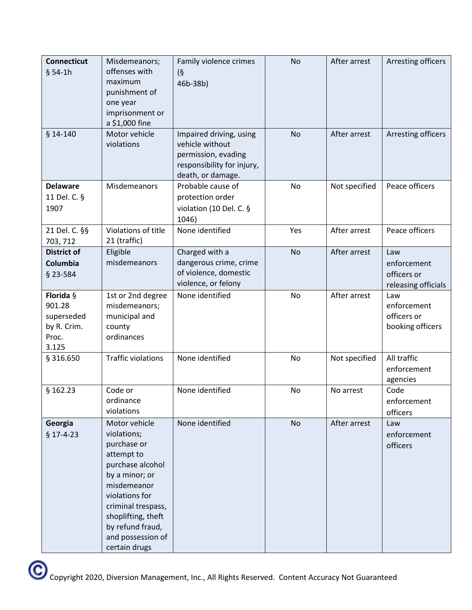| <b>Connecticut</b><br>$§ 54-1h$                                    | Misdemeanors;<br>offenses with<br>maximum<br>punishment of<br>one year<br>imprisonment or                                                                                                                                              | Family violence crimes<br>$\sqrt{9}$<br>46b-38b)                                                                     | No        | After arrest  | Arresting officers                                       |
|--------------------------------------------------------------------|----------------------------------------------------------------------------------------------------------------------------------------------------------------------------------------------------------------------------------------|----------------------------------------------------------------------------------------------------------------------|-----------|---------------|----------------------------------------------------------|
| $$14-140$                                                          | a \$1,000 fine<br>Motor vehicle<br>violations                                                                                                                                                                                          | Impaired driving, using<br>vehicle without<br>permission, evading<br>responsibility for injury,<br>death, or damage. | No        | After arrest  | Arresting officers                                       |
| <b>Delaware</b><br>11 Del. C. §<br>1907                            | Misdemeanors                                                                                                                                                                                                                           | Probable cause of<br>protection order<br>violation (10 Del. C. §<br>1046)                                            | No        | Not specified | Peace officers                                           |
| 21 Del. C. §§<br>703, 712                                          | Violations of title<br>21 (traffic)                                                                                                                                                                                                    | None identified                                                                                                      | Yes       | After arrest  | Peace officers                                           |
| <b>District of</b><br>Columbia<br>$§$ 23-584                       | Eligible<br>misdemeanors                                                                                                                                                                                                               | Charged with a<br>dangerous crime, crime<br>of violence, domestic<br>violence, or felony                             | <b>No</b> | After arrest  | Law<br>enforcement<br>officers or<br>releasing officials |
| Florida §<br>901.28<br>superseded<br>by R. Crim.<br>Proc.<br>3.125 | 1st or 2nd degree<br>misdemeanors;<br>municipal and<br>county<br>ordinances                                                                                                                                                            | None identified                                                                                                      | No        | After arrest  | Law<br>enforcement<br>officers or<br>booking officers    |
| § 316.650                                                          | <b>Traffic violations</b>                                                                                                                                                                                                              | None identified                                                                                                      | No        | Not specified | All traffic<br>enforcement<br>agencies                   |
| § 162.23                                                           | Code or<br>ordinance<br>violations                                                                                                                                                                                                     | None identified                                                                                                      | No        | No arrest     | Code<br>enforcement<br>officers                          |
| Georgia<br>$§$ 17-4-23                                             | Motor vehicle<br>violations;<br>purchase or<br>attempt to<br>purchase alcohol<br>by a minor; or<br>misdemeanor<br>violations for<br>criminal trespass,<br>shoplifting, theft<br>by refund fraud,<br>and possession of<br>certain drugs | None identified                                                                                                      | No        | After arrest  | Law<br>enforcement<br>officers                           |

Copyright 2020, Diversion Management, Inc., All Rights Reserved. Content Accuracy Not Guaranteed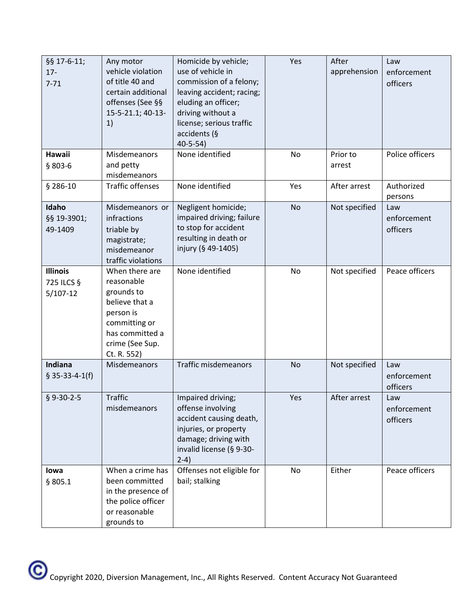| §§ 17-6-11;<br>$17 -$<br>$7 - 71$           | Any motor<br>vehicle violation<br>of title 40 and<br>certain additional<br>offenses (See §§<br>15-5-21.1; 40-13-<br>1)                          | Homicide by vehicle;<br>use of vehicle in<br>commission of a felony;<br>leaving accident; racing;<br>eluding an officer;<br>driving without a<br>license; serious traffic<br>accidents (§<br>40-5-54) | Yes | After<br>apprehension | Law<br>enforcement<br>officers |
|---------------------------------------------|-------------------------------------------------------------------------------------------------------------------------------------------------|-------------------------------------------------------------------------------------------------------------------------------------------------------------------------------------------------------|-----|-----------------------|--------------------------------|
| <b>Hawaii</b><br>$$803-6$                   | Misdemeanors<br>and petty<br>misdemeanors                                                                                                       | None identified                                                                                                                                                                                       | No  | Prior to<br>arrest    | Police officers                |
| $$286-10$                                   | <b>Traffic offenses</b>                                                                                                                         | None identified                                                                                                                                                                                       | Yes | After arrest          | Authorized<br>persons          |
| Idaho<br>§§ 19-3901;<br>49-1409             | Misdemeanors or<br>infractions<br>triable by<br>magistrate;<br>misdemeanor<br>traffic violations                                                | Negligent homicide;<br>impaired driving; failure<br>to stop for accident<br>resulting in death or<br>injury (§ 49-1405)                                                                               | No  | Not specified         | Law<br>enforcement<br>officers |
| <b>Illinois</b><br>725 ILCS §<br>$5/107-12$ | When there are<br>reasonable<br>grounds to<br>believe that a<br>person is<br>committing or<br>has committed a<br>crime (See Sup.<br>Ct. R. 552) | None identified                                                                                                                                                                                       | No  | Not specified         | Peace officers                 |
| Indiana<br>$$35-33-4-1(f)$                  | Misdemeanors                                                                                                                                    | <b>Traffic misdemeanors</b>                                                                                                                                                                           | No  | Not specified         | Law<br>enforcement<br>officers |
| $$9-30-2-5$                                 | <b>Traffic</b><br>misdemeanors                                                                                                                  | Impaired driving;<br>offense involving<br>accident causing death,<br>injuries, or property<br>damage; driving with<br>invalid license (§ 9-30-<br>$2-4)$                                              | Yes | After arrest          | Law<br>enforcement<br>officers |
| lowa<br>§ 805.1                             | When a crime has<br>been committed<br>in the presence of<br>the police officer<br>or reasonable<br>grounds to                                   | Offenses not eligible for<br>bail; stalking                                                                                                                                                           | No  | Either                | Peace officers                 |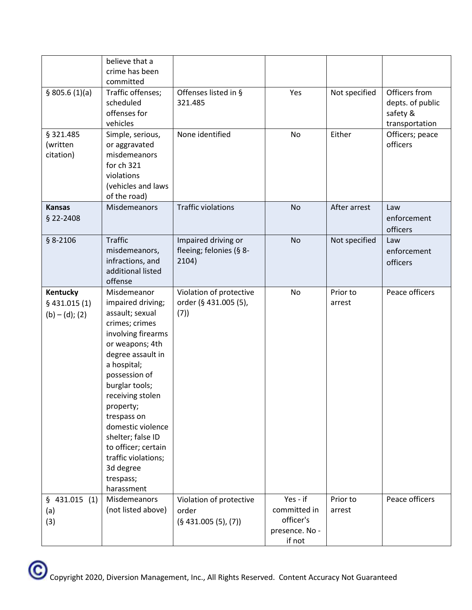|                                                 | believe that a<br>crime has been<br>committed                                                                                                                                                                                                                                                                                                                         |                                                         |                                                                   |                    |                                                                 |
|-------------------------------------------------|-----------------------------------------------------------------------------------------------------------------------------------------------------------------------------------------------------------------------------------------------------------------------------------------------------------------------------------------------------------------------|---------------------------------------------------------|-------------------------------------------------------------------|--------------------|-----------------------------------------------------------------|
| \$805.6(1)(a)                                   | Traffic offenses;<br>scheduled<br>offenses for<br>vehicles                                                                                                                                                                                                                                                                                                            | Offenses listed in §<br>321.485                         | Yes                                                               | Not specified      | Officers from<br>depts. of public<br>safety &<br>transportation |
| § 321.485<br>(written<br>citation)              | Simple, serious,<br>or aggravated<br>misdemeanors<br>for ch 321<br>violations<br>(vehicles and laws<br>of the road)                                                                                                                                                                                                                                                   | None identified                                         | No                                                                | Either             | Officers; peace<br>officers                                     |
| <b>Kansas</b><br>§ 22-2408                      | Misdemeanors                                                                                                                                                                                                                                                                                                                                                          | <b>Traffic violations</b>                               | <b>No</b>                                                         | After arrest       | Law<br>enforcement<br>officers                                  |
| $$8-2106$                                       | <b>Traffic</b><br>misdemeanors,<br>infractions, and<br>additional listed<br>offense                                                                                                                                                                                                                                                                                   | Impaired driving or<br>fleeing; felonies (§ 8-<br>2104) | <b>No</b>                                                         | Not specified      | Law<br>enforcement<br>officers                                  |
| Kentucky<br>$§$ 431.015 (1)<br>$(b) - (d); (2)$ | Misdemeanor<br>impaired driving;<br>assault; sexual<br>crimes; crimes<br>involving firearms<br>or weapons; 4th<br>degree assault in<br>a hospital;<br>possession of<br>burglar tools;<br>receiving stolen<br>property;<br>trespass on<br>domestic violence<br>shelter; false ID<br>to officer; certain<br>traffic violations;<br>3d degree<br>trespass;<br>harassment | Violation of protective<br>order (§ 431.005 (5),<br>(7) | No                                                                | Prior to<br>arrest | Peace officers                                                  |
| \$431.015<br>(1)<br>(a)<br>(3)                  | <b>Misdemeanors</b><br>(not listed above)                                                                                                                                                                                                                                                                                                                             | Violation of protective<br>order<br>(§ 431.005(5), (7)) | Yes - if<br>committed in<br>officer's<br>presence. No -<br>if not | Prior to<br>arrest | Peace officers                                                  |

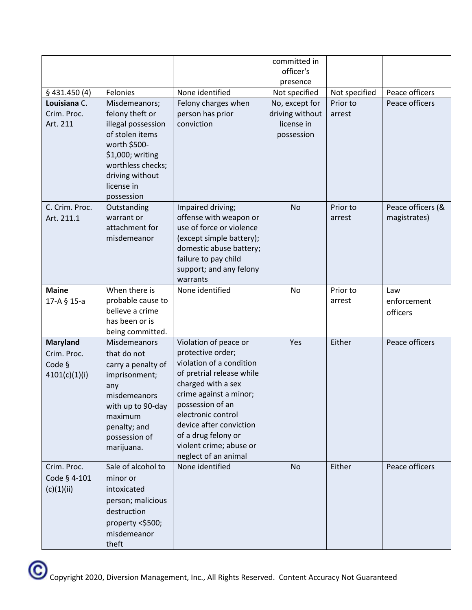|                              |                                     |                                                    | committed in                      |                           |                   |
|------------------------------|-------------------------------------|----------------------------------------------------|-----------------------------------|---------------------------|-------------------|
|                              |                                     |                                                    | officer's                         |                           |                   |
|                              |                                     |                                                    | presence                          |                           | Peace officers    |
| \$431.450(4)<br>Louisiana C. | Felonies                            | None identified                                    | Not specified                     | Not specified<br>Prior to | Peace officers    |
| Crim. Proc.                  | Misdemeanors;<br>felony theft or    | Felony charges when<br>person has prior            | No, except for<br>driving without | arrest                    |                   |
| Art. 211                     | illegal possession                  | conviction                                         | license in                        |                           |                   |
|                              | of stolen items                     |                                                    | possession                        |                           |                   |
|                              | worth \$500-                        |                                                    |                                   |                           |                   |
|                              | \$1,000; writing                    |                                                    |                                   |                           |                   |
|                              | worthless checks;                   |                                                    |                                   |                           |                   |
|                              | driving without                     |                                                    |                                   |                           |                   |
|                              | license in                          |                                                    |                                   |                           |                   |
|                              | possession                          |                                                    |                                   |                           |                   |
| C. Crim. Proc.               | Outstanding                         | Impaired driving;                                  | <b>No</b>                         | Prior to                  | Peace officers (& |
| Art. 211.1                   | warrant or                          | offense with weapon or<br>use of force or violence |                                   | arrest                    | magistrates)      |
|                              | attachment for<br>misdemeanor       | (except simple battery);                           |                                   |                           |                   |
|                              |                                     | domestic abuse battery;                            |                                   |                           |                   |
|                              |                                     | failure to pay child                               |                                   |                           |                   |
|                              |                                     | support; and any felony                            |                                   |                           |                   |
|                              |                                     | warrants                                           |                                   |                           |                   |
| <b>Maine</b>                 | When there is                       | None identified                                    | No                                | Prior to                  | Law               |
| 17-A § 15-a                  | probable cause to                   |                                                    |                                   | arrest                    | enforcement       |
|                              | believe a crime                     |                                                    |                                   |                           | officers          |
|                              | has been or is                      |                                                    |                                   |                           |                   |
|                              | being committed.<br>Misdemeanors    |                                                    |                                   | Either                    | Peace officers    |
| Maryland<br>Crim. Proc.      | that do not                         | Violation of peace or<br>protective order;         | Yes                               |                           |                   |
| Code §                       |                                     | violation of a condition                           |                                   |                           |                   |
| 4101(c)(1)(i)                | carry a penalty of<br>imprisonment; | of pretrial release while                          |                                   |                           |                   |
|                              | any                                 | charged with a sex                                 |                                   |                           |                   |
|                              | misdemeanors                        | crime against a minor;                             |                                   |                           |                   |
|                              | with up to 90-day                   | possession of an                                   |                                   |                           |                   |
|                              | maximum                             | electronic control                                 |                                   |                           |                   |
|                              | penalty; and                        | device after conviction                            |                                   |                           |                   |
|                              | possession of                       | of a drug felony or                                |                                   |                           |                   |
|                              | marijuana.                          | violent crime; abuse or<br>neglect of an animal    |                                   |                           |                   |
| Crim. Proc.                  | Sale of alcohol to                  | None identified                                    | <b>No</b>                         | Either                    | Peace officers    |
| Code § 4-101                 | minor or                            |                                                    |                                   |                           |                   |
| (c)(1)(ii)                   | intoxicated                         |                                                    |                                   |                           |                   |
|                              | person; malicious                   |                                                    |                                   |                           |                   |
|                              | destruction                         |                                                    |                                   |                           |                   |
|                              | property <\$500;                    |                                                    |                                   |                           |                   |
|                              | misdemeanor                         |                                                    |                                   |                           |                   |
|                              | theft                               |                                                    |                                   |                           |                   |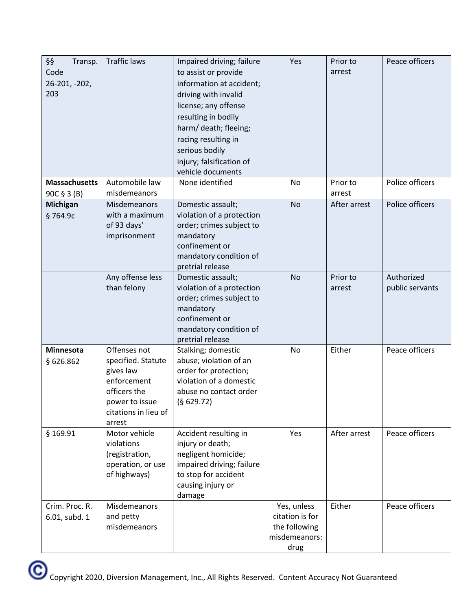| §§<br>Transp.<br>Code<br>26-201, -202,<br>203 | <b>Traffic laws</b>                                                                                                                | Impaired driving; failure<br>to assist or provide<br>information at accident;<br>driving with invalid<br>license; any offense<br>resulting in bodily<br>harm/ death; fleeing;<br>racing resulting in<br>serious bodily<br>injury; falsification of<br>vehicle documents | Yes                                                                      | Prior to<br>arrest | Peace officers                |
|-----------------------------------------------|------------------------------------------------------------------------------------------------------------------------------------|-------------------------------------------------------------------------------------------------------------------------------------------------------------------------------------------------------------------------------------------------------------------------|--------------------------------------------------------------------------|--------------------|-------------------------------|
| <b>Massachusetts</b><br>90C § 3 (B)           | Automobile law<br>misdemeanors                                                                                                     | None identified                                                                                                                                                                                                                                                         | No                                                                       | Prior to<br>arrest | Police officers               |
| <b>Michigan</b><br>§764.9c                    | Misdemeanors<br>with a maximum<br>of 93 days'<br>imprisonment                                                                      | Domestic assault;<br>violation of a protection<br>order; crimes subject to<br>mandatory<br>confinement or<br>mandatory condition of<br>pretrial release                                                                                                                 | No                                                                       | After arrest       | Police officers               |
|                                               | Any offense less<br>than felony                                                                                                    | Domestic assault;<br>violation of a protection<br>order; crimes subject to<br>mandatory<br>confinement or<br>mandatory condition of<br>pretrial release                                                                                                                 | No                                                                       | Prior to<br>arrest | Authorized<br>public servants |
| Minnesota<br>§ 626.862                        | Offenses not<br>specified. Statute<br>gives law<br>enforcement<br>officers the<br>power to issue<br>citations in lieu of<br>arrest | Stalking; domestic<br>abuse; violation of an<br>order for protection;<br>violation of a domestic<br>abuse no contact order<br>(§ 629.72)                                                                                                                                | No                                                                       | Either             | Peace officers                |
| \$169.91                                      | Motor vehicle<br>violations<br>(registration,<br>operation, or use<br>of highways)                                                 | Accident resulting in<br>injury or death;<br>negligent homicide;<br>impaired driving; failure<br>to stop for accident<br>causing injury or<br>damage                                                                                                                    | Yes                                                                      | After arrest       | Peace officers                |
| Crim. Proc. R.<br>6.01, subd. 1               | <b>Misdemeanors</b><br>and petty<br>misdemeanors                                                                                   |                                                                                                                                                                                                                                                                         | Yes, unless<br>citation is for<br>the following<br>misdemeanors:<br>drug | Either             | Peace officers                |

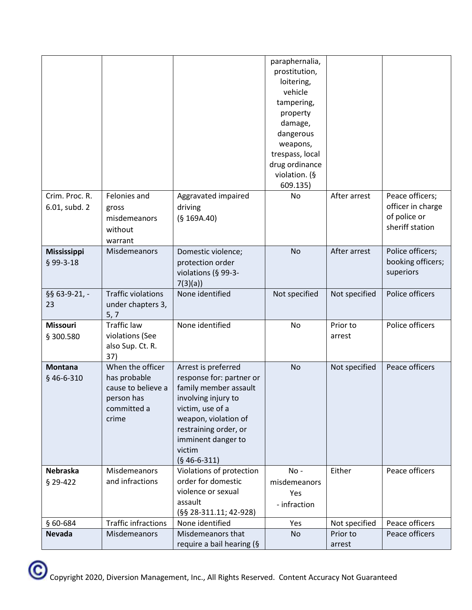|                    |                            |                           | paraphernalia,  |               |                   |
|--------------------|----------------------------|---------------------------|-----------------|---------------|-------------------|
|                    |                            |                           | prostitution,   |               |                   |
|                    |                            |                           | loitering,      |               |                   |
|                    |                            |                           | vehicle         |               |                   |
|                    |                            |                           | tampering,      |               |                   |
|                    |                            |                           | property        |               |                   |
|                    |                            |                           | damage,         |               |                   |
|                    |                            |                           | dangerous       |               |                   |
|                    |                            |                           | weapons,        |               |                   |
|                    |                            |                           | trespass, local |               |                   |
|                    |                            |                           | drug ordinance  |               |                   |
|                    |                            |                           | violation. (§   |               |                   |
|                    |                            |                           | 609.135)        |               |                   |
| Crim. Proc. R.     | Felonies and               | Aggravated impaired       | No              | After arrest  | Peace officers;   |
| 6.01, subd. 2      | gross                      | driving                   |                 |               | officer in charge |
|                    | misdemeanors               | (§ 169A.40)               |                 |               | of police or      |
|                    | without                    |                           |                 |               | sheriff station   |
|                    | warrant                    |                           |                 |               |                   |
| <b>Mississippi</b> | Misdemeanors               | Domestic violence;        | <b>No</b>       | After arrest  | Police officers;  |
| $§$ 99-3-18        |                            | protection order          |                 |               | booking officers; |
|                    |                            | violations (§ 99-3-       |                 |               | superiors         |
|                    |                            | 7(3)(a)                   |                 |               |                   |
| §§ 63-9-21, -      | <b>Traffic violations</b>  | None identified           | Not specified   | Not specified | Police officers   |
| 23                 | under chapters 3,          |                           |                 |               |                   |
|                    | 5, 7                       |                           |                 |               |                   |
| <b>Missouri</b>    | <b>Traffic law</b>         | None identified           | No              | Prior to      | Police officers   |
| § 300.580          | violations (See            |                           |                 | arrest        |                   |
|                    | also Sup. Ct. R.           |                           |                 |               |                   |
|                    | 37)                        |                           |                 |               |                   |
| <b>Montana</b>     | When the officer           | Arrest is preferred       | No              | Not specified | Peace officers    |
| § 46-6-310         | has probable               | response for: partner or  |                 |               |                   |
|                    | cause to believe a         | family member assault     |                 |               |                   |
|                    | person has                 | involving injury to       |                 |               |                   |
|                    | committed a                | victim, use of a          |                 |               |                   |
|                    | crime                      | weapon, violation of      |                 |               |                   |
|                    |                            | restraining order, or     |                 |               |                   |
|                    |                            | imminent danger to        |                 |               |                   |
|                    |                            | victim                    |                 |               |                   |
|                    |                            | $(§ 46-6-311)$            |                 |               |                   |
| Nebraska           | Misdemeanors               | Violations of protection  | No-             | Either        | Peace officers    |
| § 29-422           | and infractions            | order for domestic        | misdemeanors    |               |                   |
|                    |                            | violence or sexual        | Yes             |               |                   |
|                    |                            | assault                   | - infraction    |               |                   |
|                    |                            | $(S\$ 28-311.11; 42-928)  |                 |               |                   |
| § 60-684           | <b>Traffic infractions</b> | None identified           | Yes             | Not specified | Peace officers    |
| <b>Nevada</b>      | Misdemeanors               | Misdemeanors that         | No              | Prior to      | Peace officers    |
|                    |                            | require a bail hearing (§ |                 | arrest        |                   |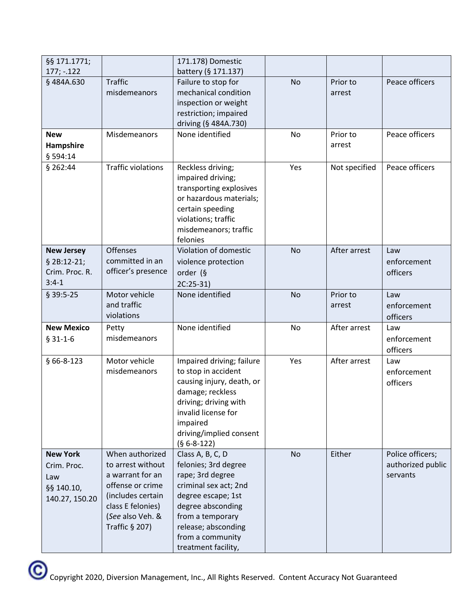| §§ 171.1771;                                                          |                                                                                                                                                                | 171.178) Domestic                                                                                                                                                                                                      |           |                    |                                                   |
|-----------------------------------------------------------------------|----------------------------------------------------------------------------------------------------------------------------------------------------------------|------------------------------------------------------------------------------------------------------------------------------------------------------------------------------------------------------------------------|-----------|--------------------|---------------------------------------------------|
| $177; -122$                                                           |                                                                                                                                                                | battery (§ 171.137)                                                                                                                                                                                                    |           |                    |                                                   |
| §484A.630                                                             | <b>Traffic</b><br>misdemeanors                                                                                                                                 | Failure to stop for<br>mechanical condition<br>inspection or weight<br>restriction; impaired<br>driving (§ 484A.730)                                                                                                   | <b>No</b> | Prior to<br>arrest | Peace officers                                    |
| <b>New</b><br>Hampshire<br>§ 594:14                                   | Misdemeanors                                                                                                                                                   | None identified                                                                                                                                                                                                        | No        | Prior to<br>arrest | Peace officers                                    |
| $§$ 262:44                                                            | <b>Traffic violations</b>                                                                                                                                      | Reckless driving;<br>impaired driving;<br>transporting explosives<br>or hazardous materials;<br>certain speeding<br>violations; traffic<br>misdemeanors; traffic<br>felonies                                           | Yes       | Not specified      | Peace officers                                    |
| <b>New Jersey</b><br>$$2B:12-21;$<br>Crim. Proc. R.<br>$3:4-1$        | <b>Offenses</b><br>committed in an<br>officer's presence                                                                                                       | Violation of domestic<br>violence protection<br>order (§<br>$2C:25-31$                                                                                                                                                 | No        | After arrest       | Law<br>enforcement<br>officers                    |
| $$39:5-25$                                                            | Motor vehicle<br>and traffic<br>violations                                                                                                                     | None identified                                                                                                                                                                                                        | <b>No</b> | Prior to<br>arrest | Law<br>enforcement<br>officers                    |
| <b>New Mexico</b><br>$$31-1-6$                                        | Petty<br>misdemeanors                                                                                                                                          | None identified                                                                                                                                                                                                        | No        | After arrest       | Law<br>enforcement<br>officers                    |
| $§$ 66-8-123                                                          | Motor vehicle<br>misdemeanors                                                                                                                                  | Impaired driving; failure<br>to stop in accident<br>causing injury, death, or<br>damage; reckless<br>driving; driving with<br>invalid license for<br>impaired<br>driving/implied consent<br>$(§ 6-8-122)$              | Yes       | After arrest       | Law<br>enforcement<br>officers                    |
| <b>New York</b><br>Crim. Proc.<br>Law<br>§§ 140.10,<br>140.27, 150.20 | When authorized<br>to arrest without<br>a warrant for an<br>offense or crime<br>(includes certain<br>class E felonies)<br>(See also Veh. &<br>Traffic $§$ 207) | Class A, B, C, D<br>felonies; 3rd degree<br>rape; 3rd degree<br>criminal sex act; 2nd<br>degree escape; 1st<br>degree absconding<br>from a temporary<br>release; absconding<br>from a community<br>treatment facility, | No        | Either             | Police officers;<br>authorized public<br>servants |

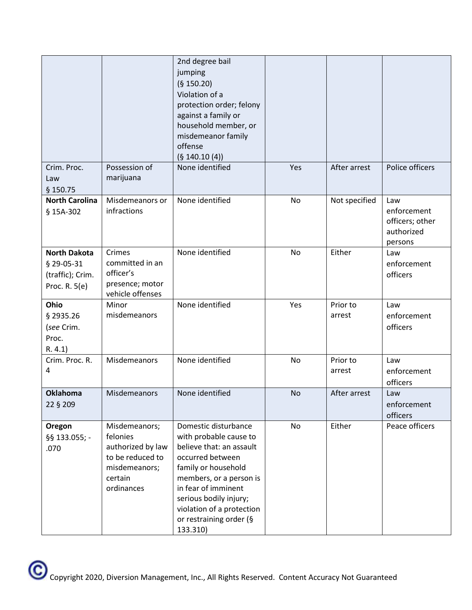|                                                                        |                                                                                                              | 2nd degree bail<br>jumping<br>(§ 150.20)<br>Violation of a<br>protection order; felony<br>against a family or<br>household member, or<br>misdemeanor family<br>offense<br>(§ 140.10(4))                                                                               |           |                    |                                                                |
|------------------------------------------------------------------------|--------------------------------------------------------------------------------------------------------------|-----------------------------------------------------------------------------------------------------------------------------------------------------------------------------------------------------------------------------------------------------------------------|-----------|--------------------|----------------------------------------------------------------|
| Crim. Proc.<br>Law<br>\$150.75                                         | Possession of<br>marijuana                                                                                   | None identified                                                                                                                                                                                                                                                       | Yes       | After arrest       | Police officers                                                |
| <b>North Carolina</b><br>§ 15A-302                                     | Misdemeanors or<br>infractions                                                                               | None identified                                                                                                                                                                                                                                                       | No        | Not specified      | Law<br>enforcement<br>officers; other<br>authorized<br>persons |
| <b>North Dakota</b><br>§ 29-05-31<br>(traffic); Crim.<br>Proc. R. 5(e) | Crimes<br>committed in an<br>officer's<br>presence; motor<br>vehicle offenses                                | None identified                                                                                                                                                                                                                                                       | <b>No</b> | Either             | Law<br>enforcement<br>officers                                 |
| Ohio<br>§ 2935.26<br>(see Crim.<br>Proc.<br>R. 4.1)                    | Minor<br>misdemeanors                                                                                        | None identified                                                                                                                                                                                                                                                       | Yes       | Prior to<br>arrest | Law<br>enforcement<br>officers                                 |
| Crim. Proc. R.<br>4                                                    | Misdemeanors                                                                                                 | None identified                                                                                                                                                                                                                                                       | No        | Prior to<br>arrest | Law<br>enforcement<br>officers                                 |
| <b>Oklahoma</b><br>22 § 209                                            | <b>Misdemeanors</b>                                                                                          | None identified                                                                                                                                                                                                                                                       | No        | After arrest       | Law<br>enforcement<br>officers                                 |
| Oregon<br>§§ 133.055; -<br>.070                                        | Misdemeanors;<br>felonies<br>authorized by law<br>to be reduced to<br>misdemeanors;<br>certain<br>ordinances | Domestic disturbance<br>with probable cause to<br>believe that: an assault<br>occurred between<br>family or household<br>members, or a person is<br>in fear of imminent<br>serious bodily injury;<br>violation of a protection<br>or restraining order (§<br>133.310) | No        | Either             | Peace officers                                                 |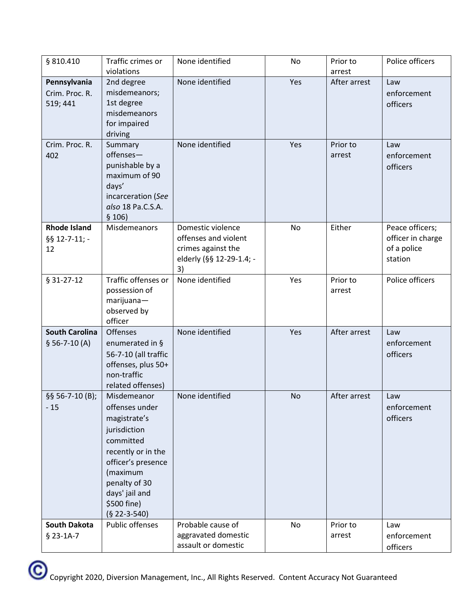| § 810.410                                     | Traffic crimes or                                                                                                                                                                                      | None identified                                                                                   | No        | Prior to           | Police officers                                                |
|-----------------------------------------------|--------------------------------------------------------------------------------------------------------------------------------------------------------------------------------------------------------|---------------------------------------------------------------------------------------------------|-----------|--------------------|----------------------------------------------------------------|
|                                               | violations                                                                                                                                                                                             |                                                                                                   |           | arrest             |                                                                |
| Pennsylvania<br>Crim. Proc. R.<br>519; 441    | 2nd degree<br>misdemeanors;<br>1st degree<br>misdemeanors<br>for impaired<br>driving                                                                                                                   | None identified                                                                                   | Yes       | After arrest       | Law<br>enforcement<br>officers                                 |
| Crim. Proc. R.<br>402                         | Summary<br>offenses-<br>punishable by a<br>maximum of 90<br>days'<br>incarceration (See<br>also 18 Pa.C.S.A.<br>\$106)                                                                                 | None identified                                                                                   | Yes       | Prior to<br>arrest | Law<br>enforcement<br>officers                                 |
| <b>Rhode Island</b><br>$§$ § 12-7-11; -<br>12 | Misdemeanors                                                                                                                                                                                           | Domestic violence<br>offenses and violent<br>crimes against the<br>elderly (§§ 12-29-1.4; -<br>3) | No        | Either             | Peace officers;<br>officer in charge<br>of a police<br>station |
| $§$ 31-27-12                                  | Traffic offenses or<br>possession of<br>$marijuana -$<br>observed by<br>officer                                                                                                                        | None identified                                                                                   | Yes       | Prior to<br>arrest | Police officers                                                |
| <b>South Carolina</b><br>$$56-7-10(A)$        | <b>Offenses</b><br>enumerated in §<br>56-7-10 (all traffic<br>offenses, plus 50+<br>non-traffic<br>related offenses)                                                                                   | None identified                                                                                   | Yes       | After arrest       | Law<br>enforcement<br>officers                                 |
| $§$ § 56-7-10 $(B)$ ;<br>$-15$                | Misdemeanor<br>offenses under<br>magistrate's<br>jurisdiction<br>committed<br>recently or in the<br>officer's presence<br>(maximum<br>penalty of 30<br>days' jail and<br>\$500 fine)<br>$(§ 22-3-540)$ | None identified                                                                                   | <b>No</b> | After arrest       | Law<br>enforcement<br>officers                                 |
| <b>South Dakota</b><br>$$23-1A-7$             | Public offenses                                                                                                                                                                                        | Probable cause of<br>aggravated domestic<br>assault or domestic                                   | No        | Prior to<br>arrest | Law<br>enforcement<br>officers                                 |

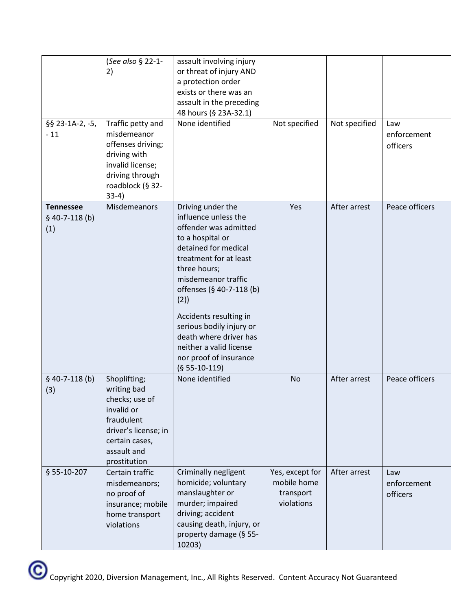| §§ 23-1A-2, -5,<br>$-11$                  | (See also § 22-1-<br>2)<br>Traffic petty and<br>misdemeanor<br>offenses driving;<br>driving with<br>invalid license;<br>driving through<br>roadblock (§ 32-<br>$33-4)$ | assault involving injury<br>or threat of injury AND<br>a protection order<br>exists or there was an<br>assault in the preceding<br>48 hours (§ 23A-32.1)<br>None identified                                                                                                                                                                                                | Not specified                                             | Not specified | Law<br>enforcement<br>officers |
|-------------------------------------------|------------------------------------------------------------------------------------------------------------------------------------------------------------------------|----------------------------------------------------------------------------------------------------------------------------------------------------------------------------------------------------------------------------------------------------------------------------------------------------------------------------------------------------------------------------|-----------------------------------------------------------|---------------|--------------------------------|
| <b>Tennessee</b><br>$$40-7-118(b)$<br>(1) | Misdemeanors                                                                                                                                                           | Driving under the<br>influence unless the<br>offender was admitted<br>to a hospital or<br>detained for medical<br>treatment for at least<br>three hours;<br>misdemeanor traffic<br>offenses (§ 40-7-118 (b)<br>(2)<br>Accidents resulting in<br>serious bodily injury or<br>death where driver has<br>neither a valid license<br>nor proof of insurance<br>$(§ 55-10-119)$ | Yes                                                       | After arrest  | Peace officers                 |
| $$40-7-118(b)$<br>(3)                     | Shoplifting;<br>writing bad<br>checks; use of<br>invalid or<br>fraudulent<br>driver's license; in<br>certain cases,<br>assault and<br>prostitution                     | None identified                                                                                                                                                                                                                                                                                                                                                            | <b>No</b>                                                 | After arrest  | Peace officers                 |
| § 55-10-207                               | Certain traffic<br>misdemeanors;<br>no proof of<br>insurance; mobile<br>home transport<br>violations                                                                   | Criminally negligent<br>homicide; voluntary<br>manslaughter or<br>murder; impaired<br>driving; accident<br>causing death, injury, or<br>property damage (§ 55-<br>10203)                                                                                                                                                                                                   | Yes, except for<br>mobile home<br>transport<br>violations | After arrest  | Law<br>enforcement<br>officers |

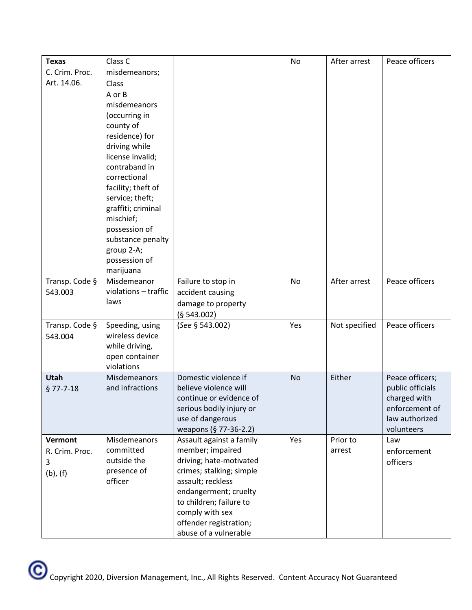| <b>Texas</b>   | Class C                            |                                               | No  | After arrest  | Peace officers   |
|----------------|------------------------------------|-----------------------------------------------|-----|---------------|------------------|
| C. Crim. Proc. | misdemeanors;                      |                                               |     |               |                  |
| Art. 14.06.    | Class                              |                                               |     |               |                  |
|                | A or B                             |                                               |     |               |                  |
|                | misdemeanors                       |                                               |     |               |                  |
|                | (occurring in                      |                                               |     |               |                  |
|                | county of                          |                                               |     |               |                  |
|                | residence) for                     |                                               |     |               |                  |
|                | driving while                      |                                               |     |               |                  |
|                | license invalid;                   |                                               |     |               |                  |
|                | contraband in                      |                                               |     |               |                  |
|                | correctional<br>facility; theft of |                                               |     |               |                  |
|                | service; theft;                    |                                               |     |               |                  |
|                | graffiti; criminal                 |                                               |     |               |                  |
|                | mischief;                          |                                               |     |               |                  |
|                | possession of                      |                                               |     |               |                  |
|                | substance penalty                  |                                               |     |               |                  |
|                | group 2-A;                         |                                               |     |               |                  |
|                | possession of                      |                                               |     |               |                  |
|                | marijuana                          |                                               |     |               |                  |
| Transp. Code § | Misdemeanor                        | Failure to stop in                            | No  | After arrest  | Peace officers   |
| 543.003        | violations - traffic               | accident causing                              |     |               |                  |
|                | laws                               | damage to property                            |     |               |                  |
|                |                                    | (§ 543.002)                                   |     |               |                  |
| Transp. Code § | Speeding, using                    | (See § 543.002)                               | Yes | Not specified | Peace officers   |
| 543.004        | wireless device                    |                                               |     |               |                  |
|                | while driving,                     |                                               |     |               |                  |
|                | open container<br>violations       |                                               |     |               |                  |
| Utah           | Misdemeanors                       | Domestic violence if                          | No  | Either        | Peace officers;  |
| $§$ 77-7-18    | and infractions                    | believe violence will                         |     |               | public officials |
|                |                                    | continue or evidence of                       |     |               | charged with     |
|                |                                    | serious bodily injury or                      |     |               | enforcement of   |
|                |                                    | use of dangerous                              |     |               | law authorized   |
|                |                                    | weapons (§ 77-36-2.2)                         |     |               | volunteers       |
| Vermont        | Misdemeanors                       | Assault against a family                      | Yes | Prior to      | Law              |
| R. Crim. Proc. | committed                          | member; impaired                              |     | arrest        | enforcement      |
| 3              | outside the                        | driving; hate-motivated                       |     |               | officers         |
| $(b)$ , $(f)$  | presence of                        | crimes; stalking; simple<br>assault; reckless |     |               |                  |
|                | officer                            | endangerment; cruelty                         |     |               |                  |
|                |                                    | to children; failure to                       |     |               |                  |
|                |                                    | comply with sex                               |     |               |                  |
|                |                                    | offender registration;                        |     |               |                  |
|                |                                    | abuse of a vulnerable                         |     |               |                  |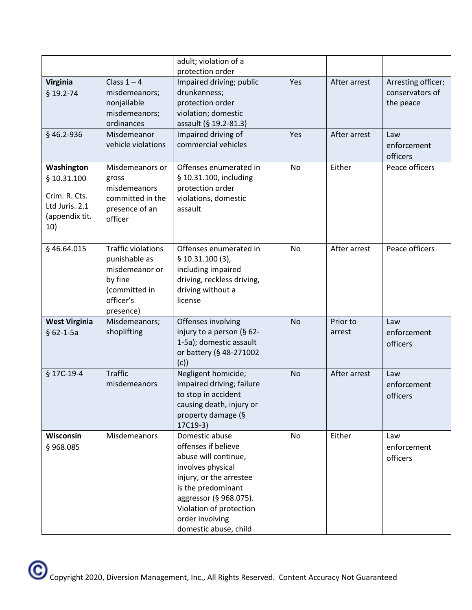|                                                                                       |                                                                                                                    | adult; violation of a<br>protection order                                                                                                                                                                                            |            |                              |                                                           |
|---------------------------------------------------------------------------------------|--------------------------------------------------------------------------------------------------------------------|--------------------------------------------------------------------------------------------------------------------------------------------------------------------------------------------------------------------------------------|------------|------------------------------|-----------------------------------------------------------|
| Virginia<br>$§$ 19.2-74<br>§46.2-936                                                  | Class $1 - 4$<br>misdemeanors;<br>nonjailable<br>misdemeanors;<br>ordinances<br>Misdemeanor                        | Impaired driving; public<br>drunkenness;<br>protection order<br>violation; domestic<br>assault (§ 19.2-81.3)<br>Impaired driving of                                                                                                  | Yes<br>Yes | After arrest<br>After arrest | Arresting officer;<br>conservators of<br>the peace<br>Law |
|                                                                                       | vehicle violations                                                                                                 | commercial vehicles                                                                                                                                                                                                                  |            |                              | enforcement<br>officers                                   |
| Washington<br>§ 10.31.100<br>Crim. R. Cts.<br>Ltd Juris. 2.1<br>(appendix tit.<br>10) | Misdemeanors or<br>gross<br>misdemeanors<br>committed in the<br>presence of an<br>officer                          | Offenses enumerated in<br>§ 10.31.100, including<br>protection order<br>violations, domestic<br>assault                                                                                                                              | No         | Either                       | Peace officers                                            |
| §46.64.015                                                                            | <b>Traffic violations</b><br>punishable as<br>misdemeanor or<br>by fine<br>(committed in<br>officer's<br>presence) | Offenses enumerated in<br>\$10.31.100(3),<br>including impaired<br>driving, reckless driving,<br>driving without a<br>license                                                                                                        | <b>No</b>  | After arrest                 | Peace officers                                            |
| <b>West Virginia</b><br>$§ 62 - 1 - 5a$                                               | Misdemeanors;<br>shoplifting                                                                                       | Offenses involving<br>injury to a person (§ 62-<br>1-5a); domestic assault<br>or battery (§ 48-271002<br>(c)                                                                                                                         | <b>No</b>  | Prior to<br>arrest           | Law<br>enforcement<br>officers                            |
| § 17C-19-4                                                                            | <b>Traffic</b><br>misdemeanors                                                                                     | Negligent homicide;<br>impaired driving; failure<br>to stop in accident<br>causing death, injury or<br>property damage (§<br>17C19-3)                                                                                                | <b>No</b>  | After arrest                 | Law<br>enforcement<br>officers                            |
| Wisconsin<br>§968.085                                                                 | Misdemeanors                                                                                                       | Domestic abuse<br>offenses if believe<br>abuse will continue,<br>involves physical<br>injury, or the arrestee<br>is the predominant<br>aggressor (§ 968.075).<br>Violation of protection<br>order involving<br>domestic abuse, child | No         | Either                       | Law<br>enforcement<br>officers                            |